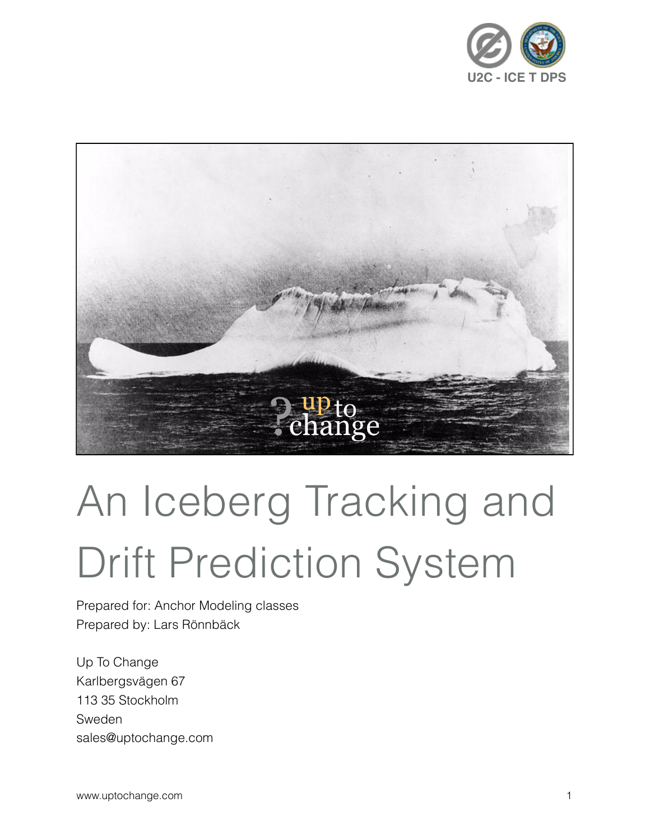



# An Iceberg Tracking and Drift Prediction System

Prepared for: Anchor Modeling classes Prepared by: Lars Rönnbäck

Up To Change Karlbergsvägen 67 113 35 Stockholm Sweden sales@uptochange.com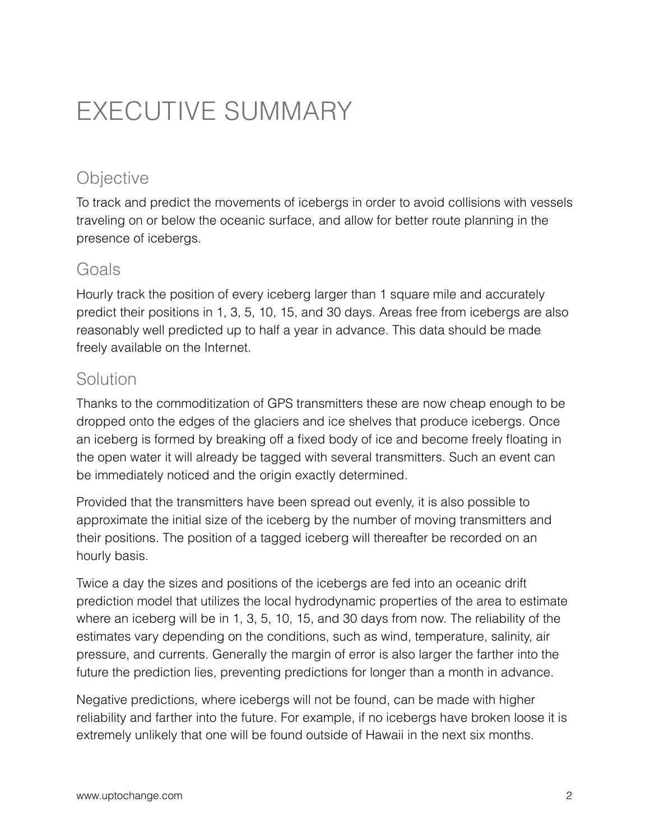# EXECUTIVE SUMMARY

## **Objective**

To track and predict the movements of icebergs in order to avoid collisions with vessels traveling on or below the oceanic surface, and allow for better route planning in the presence of icebergs.

#### Goals

Hourly track the position of every iceberg larger than 1 square mile and accurately predict their positions in 1, 3, 5, 10, 15, and 30 days. Areas free from icebergs are also reasonably well predicted up to half a year in advance. This data should be made freely available on the Internet.

#### Solution

Thanks to the commoditization of GPS transmitters these are now cheap enough to be dropped onto the edges of the glaciers and ice shelves that produce icebergs. Once an iceberg is formed by breaking off a fixed body of ice and become freely floating in the open water it will already be tagged with several transmitters. Such an event can be immediately noticed and the origin exactly determined.

Provided that the transmitters have been spread out evenly, it is also possible to approximate the initial size of the iceberg by the number of moving transmitters and their positions. The position of a tagged iceberg will thereafter be recorded on an hourly basis.

Twice a day the sizes and positions of the icebergs are fed into an oceanic drift prediction model that utilizes the local hydrodynamic properties of the area to estimate where an iceberg will be in 1, 3, 5, 10, 15, and 30 days from now. The reliability of the estimates vary depending on the conditions, such as wind, temperature, salinity, air pressure, and currents. Generally the margin of error is also larger the farther into the future the prediction lies, preventing predictions for longer than a month in advance.

Negative predictions, where icebergs will not be found, can be made with higher reliability and farther into the future. For example, if no icebergs have broken loose it is extremely unlikely that one will be found outside of Hawaii in the next six months.